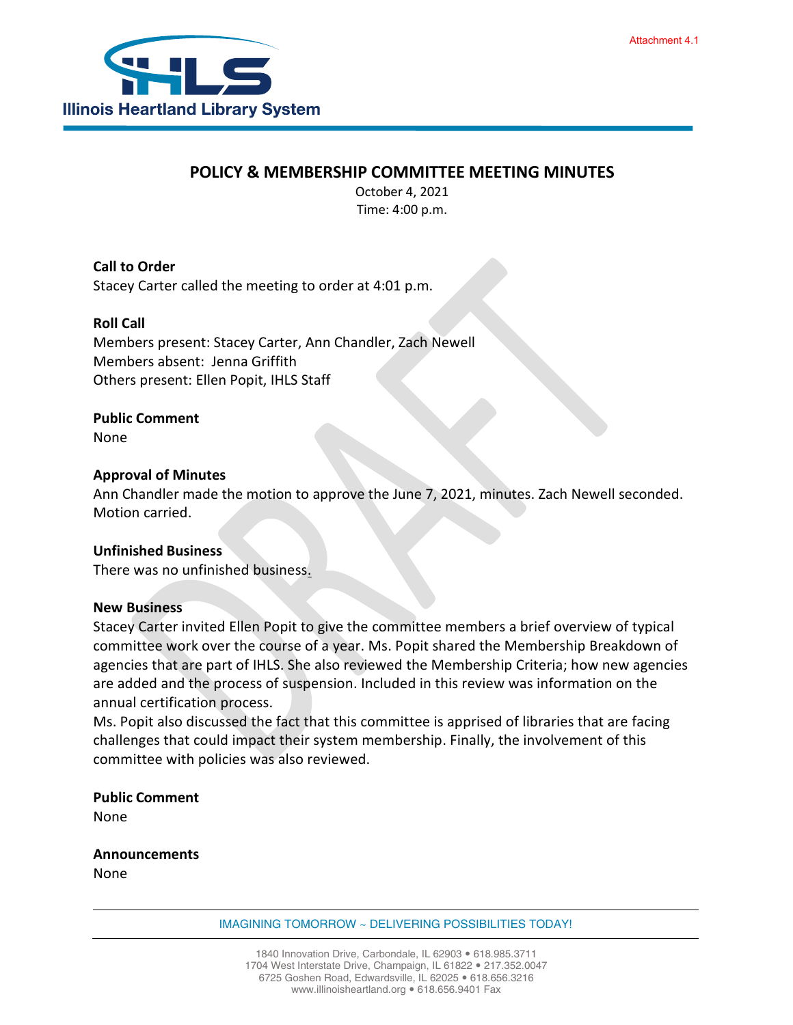

## **POLICY & MEMBERSHIP COMMITTEE MEETING MINUTES**

October 4, 2021 Time: 4:00 p.m.

**Call to Order** Stacey Carter called the meeting to order at 4:01 p.m.

#### **Roll Call**

Members present: Stacey Carter, Ann Chandler, Zach Newell Members absent: Jenna Griffith Others present: Ellen Popit, IHLS Staff

### **Public Comment**

None

#### **Approval of Minutes**

Ann Chandler made the motion to approve the June 7, 2021, minutes. Zach Newell seconded. Motion carried.

#### **Unfinished Business**

There was no unfinished business.

#### **New Business**

Stacey Carter invited Ellen Popit to give the committee members a brief overview of typical committee work over the course of a year. Ms. Popit shared the Membership Breakdown of agencies that are part of IHLS. She also reviewed the Membership Criteria; how new agencies are added and the process of suspension. Included in this review was information on the annual certification process.

Ms. Popit also discussed the fact that this committee is apprised of libraries that are facing challenges that could impact their system membership. Finally, the involvement of this committee with policies was also reviewed.

**Public Comment** None

**Announcements** None